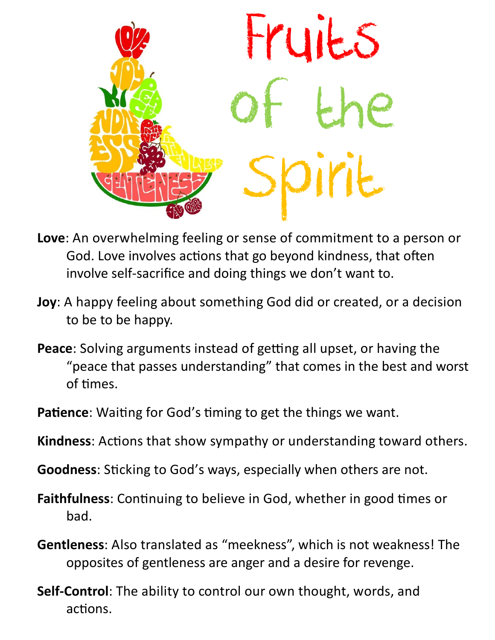

- **Love**: An overwhelming feeling or sense of commitment to a person or God. Love involves actions that go beyond kindness, that often involve self-sacrifice and doing things we don't want to.
- **Joy**: A happy feeling about something God did or created, or a decision to be to be happy.
- **Peace**: Solving arguments instead of getting all upset, or having the "peace that passes understanding" that comes in the best and worst of times.
- **Patience:** Waiting for God's timing to get the things we want.
- **Kindness**: Actions that show sympathy or understanding toward others.
- **Goodness**: Sticking to God's ways, especially when others are not.
- **Faithfulness**: Continuing to believe in God, whether in good times or bad.
- **Gentleness**: Also translated as "meekness", which is not weakness! The opposites of gentleness are anger and a desire for revenge.
- **Self-Control**: The ability to control our own thought, words, and actions.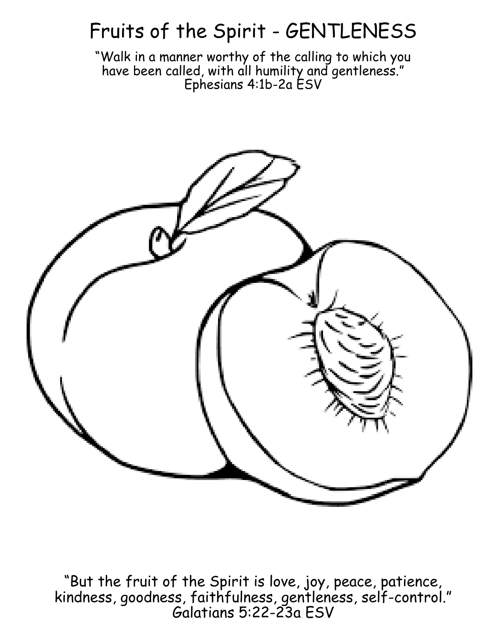## Fruits of the Spirit - GENTLENESS

"Walk in a manner worthy of the calling to which you have been called, with all humility and gentleness." Ephesians 4:1b-2a ESV



"But the fruit of the Spirit is love, joy, peace, patience, kindness, goodness, faithfulness, gentleness, self-control." Galatians 5:22-23a ESV